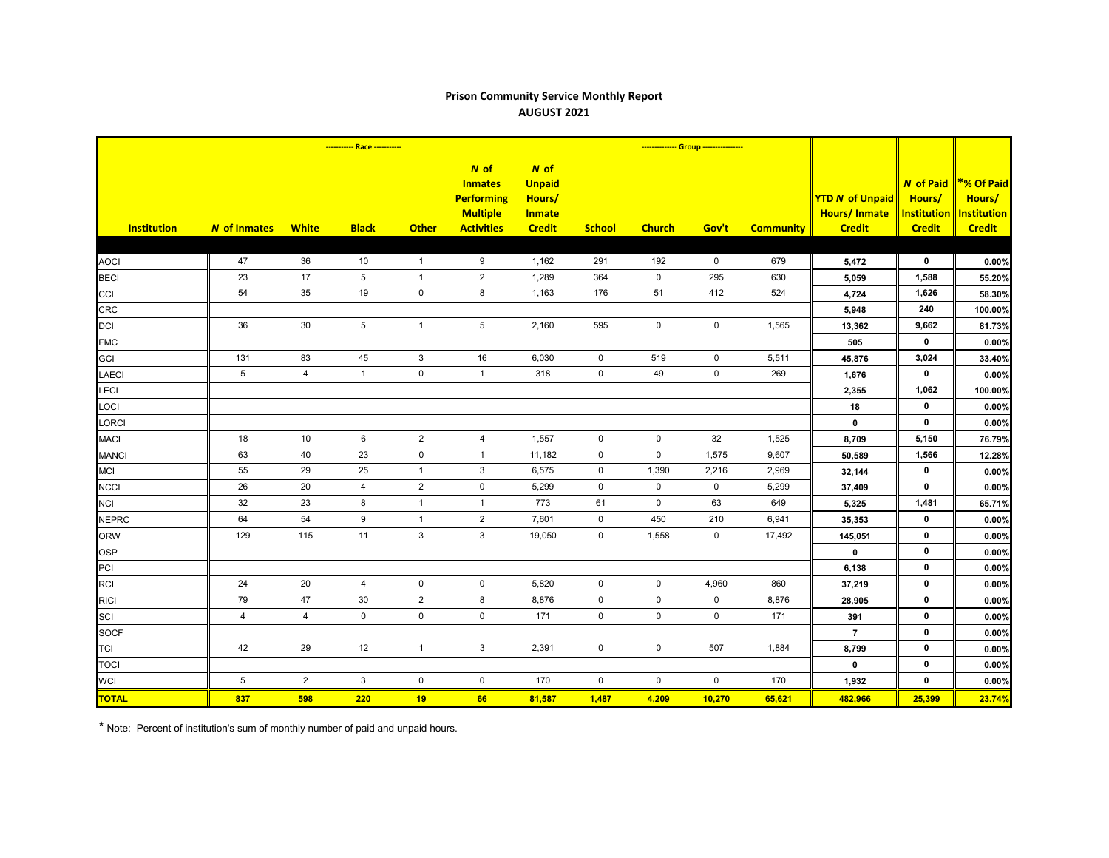## **Prison Community Service Monthly Report AUGUST 2021**

|                    | ----------- Race ----------- |                |                 |                |                                                                                       | -------------- Group ----------------                             |                     |               |             |                  |                                                                |                                                                   |                                                                    |
|--------------------|------------------------------|----------------|-----------------|----------------|---------------------------------------------------------------------------------------|-------------------------------------------------------------------|---------------------|---------------|-------------|------------------|----------------------------------------------------------------|-------------------------------------------------------------------|--------------------------------------------------------------------|
| <b>Institution</b> | <b>N</b> of Inmates          | <b>White</b>   | <b>Black</b>    | <b>Other</b>   | $N$ of<br><b>Inmates</b><br><b>Performing</b><br><b>Multiple</b><br><b>Activities</b> | N of<br><b>Unpaid</b><br>Hours/<br><b>Inmate</b><br><b>Credit</b> | <b>School</b>       | <b>Church</b> | Gov't       | <b>Community</b> | <b>YTD N of Unpaid</b><br><b>Hours/Inmate</b><br><b>Credit</b> | <b>N</b> of Paid<br>Hours/<br><b>Institution</b><br><b>Credit</b> | <b>*% Of Paid</b><br>Hours/<br><b>Institution</b><br><b>Credit</b> |
|                    |                              |                |                 |                |                                                                                       |                                                                   |                     |               |             |                  |                                                                |                                                                   |                                                                    |
| <b>AOCI</b>        | 47                           | 36             | 10              | $\overline{1}$ | 9                                                                                     | 1,162                                                             | 291                 | 192           | $\mathbf 0$ | 679              | 5,472                                                          | $\mathbf 0$                                                       | 0.00%                                                              |
| <b>BECI</b>        | 23                           | 17             | 5               | $\overline{1}$ | $\sqrt{2}$                                                                            | 1,289                                                             | 364                 | $\mathbf 0$   | 295         | 630              | 5,059                                                          | 1,588                                                             | 55.20%                                                             |
| CCI                | 54                           | 35             | 19              | $\pmb{0}$      | 8                                                                                     | 1,163                                                             | 176                 | 51            | 412         | 524              | 4,724                                                          | 1,626                                                             | 58.30%                                                             |
| <b>CRC</b>         |                              |                |                 |                |                                                                                       |                                                                   |                     |               |             |                  | 5,948                                                          | 240                                                               | 100.00%                                                            |
| <b>DCI</b>         | 36                           | 30             | $5\overline{)}$ | $\mathbf{1}$   | $\sqrt{5}$                                                                            | 2,160                                                             | 595                 | $\mathbf 0$   | $\mathbf 0$ | 1,565            | 13,362                                                         | 9,662                                                             | 81.73%                                                             |
| <b>FMC</b>         |                              |                |                 |                |                                                                                       |                                                                   |                     |               |             |                  | 505                                                            | $\mathbf 0$                                                       | 0.00%                                                              |
| GCI                | 131                          | 83             | 45              | $\mathbf{3}$   | 16                                                                                    | 6,030                                                             | $\mathbf 0$         | 519           | $\mathsf 0$ | 5,511            | 45,876                                                         | 3,024                                                             | 33.40%                                                             |
| <b>LAECI</b>       | 5 <sup>5</sup>               | 4              | $\mathbf{1}$    | $\pmb{0}$      | $\mathbf{1}$                                                                          | 318                                                               | $\mathbf 0$         | 49            | $\mathbf 0$ | 269              | 1,676                                                          | $\mathbf 0$                                                       | 0.00%                                                              |
| <b>LECI</b>        |                              |                |                 |                |                                                                                       |                                                                   |                     |               |             |                  | 2,355                                                          | 1,062                                                             | 100.00%                                                            |
| LOCI               |                              |                |                 |                |                                                                                       |                                                                   |                     |               |             |                  | 18                                                             | $\mathbf 0$                                                       | 0.00%                                                              |
| <b>LORCI</b>       |                              |                |                 |                |                                                                                       |                                                                   |                     |               |             |                  | $\mathbf 0$                                                    | $\mathbf 0$                                                       | 0.00%                                                              |
| <b>MACI</b>        | 18                           | 10             | 6               | $\mathbf{2}$   | 4                                                                                     | 1,557                                                             | $\mathbf 0$         | $\mathbf 0$   | 32          | 1,525            | 8,709                                                          | 5,150                                                             | 76.79%                                                             |
| <b>MANCI</b>       | 63                           | 40             | 23              | $\mathbf 0$    | $\mathbf{1}$                                                                          | 11,182                                                            | $\mathbf 0$         | $\mathbf 0$   | 1,575       | 9,607            | 50,589                                                         | 1,566                                                             | 12.28%                                                             |
| <b>MCI</b>         | 55                           | 29             | 25              | $\overline{1}$ | 3                                                                                     | 6,575                                                             | $\mathbf 0$         | 1,390         | 2,216       | 2,969            | 32,144                                                         | $\mathbf 0$                                                       | 0.00%                                                              |
| <b>NCCI</b>        | 26                           | $20\,$         | $\overline{4}$  | $\sqrt{2}$     | $\mathbf 0$                                                                           | 5,299                                                             | $\mathbf 0$         | $\mathbf 0$   | $\mathbf 0$ | 5,299            | 37,409                                                         | $\mathbf 0$                                                       | 0.00%                                                              |
| <b>NCI</b>         | 32                           | 23             | 8               | $\mathbf{1}$   | $\mathbf{1}$                                                                          | 773                                                               | 61                  | $\mathbf 0$   | 63          | 649              | 5,325                                                          | 1,481                                                             | 65.71%                                                             |
| <b>NEPRC</b>       | 64                           | 54             | 9               | $\mathbf{1}$   | $\mathbf 2$                                                                           | 7,601                                                             | $\mathbf 0$         | 450           | 210         | 6,941            | 35,353                                                         | $\mathbf 0$                                                       | 0.00%                                                              |
| <b>ORW</b>         | 129                          | 115            | 11              | $\mathsf 3$    | $\sqrt{3}$                                                                            | 19,050                                                            | $\mathsf{O}\xspace$ | 1,558         | $\mathbf 0$ | 17,492           | 145,051                                                        | $\mathbf 0$                                                       | 0.00%                                                              |
| <b>OSP</b>         |                              |                |                 |                |                                                                                       |                                                                   |                     |               |             |                  | $\mathbf 0$                                                    | $\mathbf 0$                                                       | 0.00%                                                              |
| PCI                |                              |                |                 |                |                                                                                       |                                                                   |                     |               |             |                  | 6,138                                                          | $\mathbf 0$                                                       | 0.00%                                                              |
| <b>RCI</b>         | 24                           | $20\,$         | $\overline{4}$  | $\mathbf 0$    | $\mathbf 0$                                                                           | 5,820                                                             | $\mathbf 0$         | $\mathbf 0$   | 4,960       | 860              | 37,219                                                         | $\mathbf 0$                                                       | 0.00%                                                              |
| <b>RICI</b>        | 79                           | 47             | $30\,$          | $\overline{2}$ | 8                                                                                     | 8,876                                                             | $\mathbf 0$         | $\mathbf 0$   | $\mathbf 0$ | 8,876            | 28,905                                                         | $\mathbf 0$                                                       | 0.00%                                                              |
| SCI                | $\overline{4}$               | $\overline{4}$ | $\mathbf 0$     | $\pmb{0}$      | $\mathsf 0$                                                                           | 171                                                               | $\mathsf{O}\xspace$ | $\mathsf 0$   | $\pmb{0}$   | 171              | 391                                                            | $\mathbf 0$                                                       | 0.00%                                                              |
| <b>SOCF</b>        |                              |                |                 |                |                                                                                       |                                                                   |                     |               |             |                  | $\overline{7}$                                                 | $\mathbf 0$                                                       | 0.00%                                                              |
| <b>TCI</b>         | 42                           | 29             | 12              | $\mathbf{1}$   | 3                                                                                     | 2,391                                                             | $\mathbf 0$         | $\mathbf 0$   | 507         | 1,884            | 8,799                                                          | $\mathbf 0$                                                       | 0.00%                                                              |
| <b>TOCI</b>        |                              |                |                 |                |                                                                                       |                                                                   |                     |               |             |                  | $\mathbf 0$                                                    | $\mathbf 0$                                                       | 0.00%                                                              |
| <b>WCI</b>         | $\,$ 5 $\,$                  | $\overline{2}$ | $\mathbf{3}$    | $\pmb{0}$      | $\mathbf 0$                                                                           | 170                                                               | $\mathsf{O}\xspace$ | $\mathbf 0$   | $\mathbf 0$ | 170              | 1,932                                                          | $\mathbf 0$                                                       | 0.00%                                                              |
| <b>TOTAL</b>       | 837                          | 598            | 220             | 19             | 66                                                                                    | 81,587                                                            | 1,487               | 4,209         | 10,270      | 65,621           | 482,966                                                        | 25,399                                                            | 23.74%                                                             |

\* Note: Percent of institution's sum of monthly number of paid and unpaid hours.